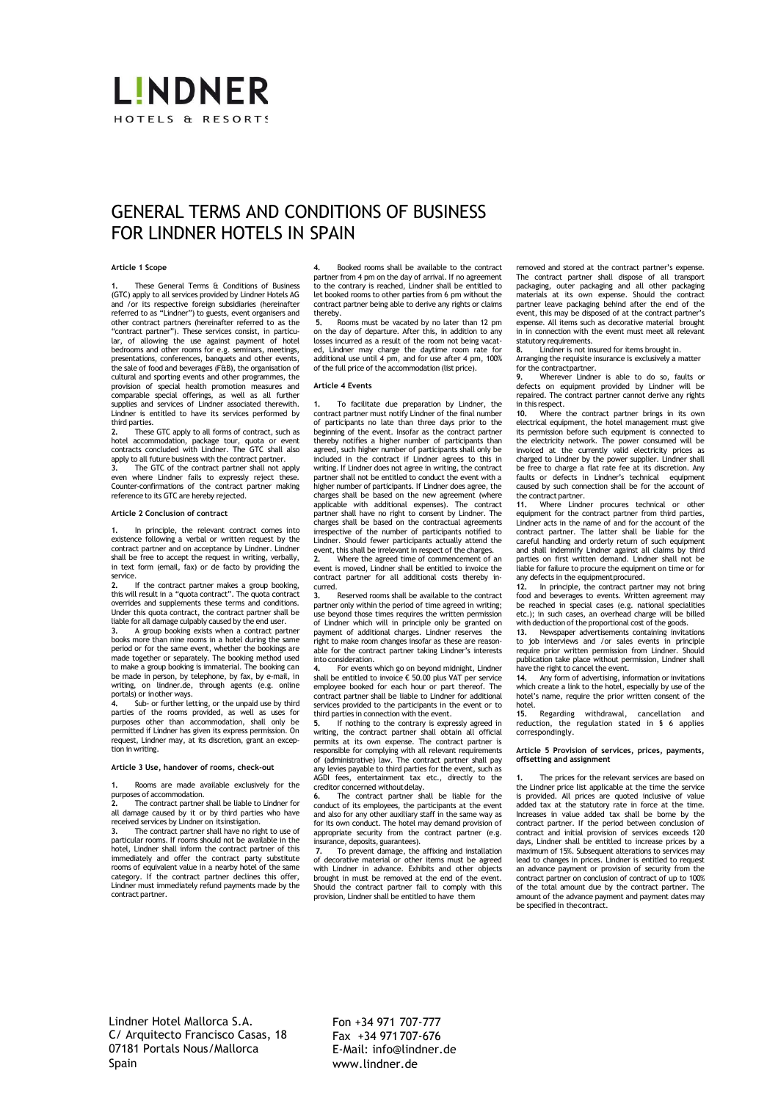# **LINDNER** HOTELS & RESORTS

# GENERAL TERMS AND CONDITIONS OF BUSINESS FOR LINDNER HOTELS IN SPAIN

# **Article 1 Scope**

**1.** These General Terms & Conditions of Business (GTC) apply to all services provided by Lindner Hotels AG and /or its respective foreign subsidiaries (hereinafter referred to as "Lindner") to guests, event organisers and other contract partners (hereinafter referred to as the "contract partner"). These services consist, in particular, of allowing the use against payment of hotel bedrooms and other rooms for e.g. seminars, meetings, presentations, conferences, banquets and other events, the sale of food and beverages (F&B), the organisation of cultural and sporting events and other programmes, the provision of special health promotion measures and comparable special offerings, as well as all further supplies and services of Lindner associated therewith. Lindner is entitled to have its services performed by

third parties. **2.** These GTC apply to all forms of contract, such as hotel accommodation, package tour, quota or event contracts concluded with Lindner. The GTC shall also apply to all future business with the contract partner.

**3.** The GTC of the contract partner shall not apply even where Lindner fails to expressly reject these. Counter-confirmations of the contract partner making reference to its GTC are hereby rejected.

### **Article 2 Conclusion of contract**

**1.** In principle, the relevant contract comes into existence following a verbal or written request by the contract partner and on acceptance by Lindner. Lindner shall be free to accept the request in writing, verbally, in text form (email, fax) or de facto by providing the service<br>2.

**2.** If the contract partner makes a group booking, this will result in a "quota contract". The quota contract overrides and supplements these terms and conditions. Under this quota contract, the contract partner shall be liable for all damage culpably caused by the end user.

**3.** A group booking exists when a contract partner books more than nine rooms in a hotel during the same period or for the same event, whether the bookings are made together or separately. The booking method used to make a group booking is immaterial. The booking can be made in person, by telephone, by fax, by e-mail, in writing, on lindner.de, through agents (e.g. online portals) or inother ways.

Sub- or further letting, or the unpaid use by third parties of the rooms provided, as well as uses for purposes other than accommodation, shall only be permitted if Lindner has given its express permission. On request, Lindner may, at its discretion, grant an exception in writing.

# **Article 3 Use, handover of rooms, check-out**

**1.** Rooms are made available exclusively for the purposes of accommodation.

**2.** The contract partner shall be liable to Lindner for all damage caused by it or by third parties who have received services by Lindner on itsinstigation.

**3.** The contract partner shall have no right to use of particular rooms. If rooms should not be available in the hotel, Lindner shall inform the contract partner of this immediately and offer the contract party substitute rooms of equivalent value in a nearby hotel of the same category. If the contract partner declines this offer, Lindner must immediately refund payments made by the contract partner.

**4.** Booked rooms shall be available to the contract partner from 4 pm on the day of arrival. If no agreement to the contrary is reached, Lindner shall be entitled to let booked rooms to other parties from 6 pm without the contract partner being able to derive any rights or claims thereby.

**5.** Rooms must be vacated by no later than 12 pm on the day of departure. After this, in addition to any losses incurred as a result of the room not being vacated, Lindner may charge the daytime room rate for additional use until 4 pm, and for use after 4 pm, 100% ofthe full price of the accommodation (list price).

#### **Article 4 Events**

**1.** To facilitate due preparation by Lindner, the contract partner must notify Lindner of the final number of participants no late than three days prior to the beginning of the event. Insofar as the contract partner thereby notifies a higher number of participants than agreed, such higher number of participants shall only be included in the contract if Lindner agrees to this in writing. If Lindner does not agree in writing, the contract partner shall not be entitled to conduct the event with a higher number of participants. If Lindner does agree, the charges shall be based on the new agreement (where applicable with additional expenses). The contract partner shall have no right to consent by Lindner. The charges shall be based on the contractual agreements irrespective of the number of participants notified to Lindner. Should fewer participants actually attend the<br>event, this shall be irrelevant in respect of the charges.

**2.** Where the agreed time of commencement of an event is moved, Lindner shall be entitled to invoice the contract partner for all additional costs thereby incurred.<br>3.

**3.** Reserved rooms shall be available to the contract partner only within the period of time agreed in writing; use beyond those times requires the written permission of Lindner which will in principle only be granted on payment of additional charges. Lindner reserves the right to make room changes insofar as these are reasonable for the contract partner taking Lindner's interests

into consideration. **4.** For events which go on beyond midnight, Lindner shall be entitled to invoice € 50.00 plus VAT per service employee booked for each hour or part thereof. The contract partner shall be liable to Lindner for additional services provided to the participants in the event or to third parties in connection with the event.

**5.** If nothing to the contrary is expressly agreed in writing, the contract partner shall obtain all official permits at its own expense. The contract partner is responsible for complying with all relevant requirements of (administrative) law. The contract partner shall pay any levies payable to third parties for the event, such as AGDI fees, entertainment tax etc., directly to the

creditor concerned withoutdelay. **6.** The contract partner shall be liable for the conduct of its employees, the participants at the event and also for any other auxiliary staff in the same way as for its own conduct. The hotel may demand provision of appropriate security from the contract partner (e.g. insurance, deposits, guarantees).

**7.** To prevent damage, the affixing and installation of decorative material or other items must be agreed with Lindner in advance. Exhibits and other objects brought in must be removed at the end of the event. Should the contract partner fail to comply with this provision, Lindner shall be entitled to have them

removed and stored at the contract partner's expense. The contract partner shall dispose of all transport packaging, outer packaging and all other packaging materials at its own expense. Should the contract partner leave packaging behind after the end of the event, this may be disposed of at the contract partner's expense. All items such as decorative material brought in in connection with the event must meet all relevant statutory requirements.<br>8. Lindner is not in

**8.** Lindner is not insured for items brought in. Arranging the requisite insurance is exclusively a matter for the contractpartner.

**9.** Wherever Lindner is able to do so, faults or defects on equipment provided by Lindner will be repaired. The contract partner cannot derive any rights in this respect.

**10.** Where the contract partner brings in its own electrical equipment, the hotel management must give its permission before such equipment is connected to the electricity network. The power consumed will be invoiced at the currently valid electricity prices as charged to Lindner by the power supplier. Lindner shall be free to charge a flat rate fee at its discretion. Any faults or defects in Lindner's technical equipment caused by such connection shall be for the account of the contract partner.

**11.** Where Lindner procures technical or other equipment for the contract partner from third parties, Lindner acts in the name of and for the account of the contract partner. The latter shall be liable for the careful handling and orderly return of such equipment and shall indemnify Lindner against all claims by third parties on first written demand. Lindner shall not be liable for failure to procure the equipment on time or for

any defects in the equipmentprocured. **12.** In principle, the contract partner may not bring food and beverages to events. Written agreement may be reached in special cases (e.g. national specialities etc.); in such cases, an overhead charge will be billed with deduction of the proportional cost of the goods.

**13.** Newspaper advertisements containing invitations to job interviews and /or sales events in principle require prior written permission from Lindner. Should publication take place without permission, Lindner shall have the right to cancel the event.

**14.** Any form of advertising, information orinvitations which create a link to the hotel, especially by use of the hotel's name, require the prior written consent of the hotel.<br>15

**15.** Regarding withdrawal, cancellation and reduction, the regulation stated in § 6 applies correspondingly.

### **Article 5 Provision of services, prices, payments, offsetting and assignment**

The prices for the relevant services are based on the Lindner price list applicable at the time the service is provided. All prices are quoted inclusive of value added tax at the statutory rate in force at the time. Increases in value added tax shall be borne by the contract partner. If the period between conclusion of contract and initial provision of services exceeds 120 days, Lindner shall be entitled to increase prices by a maximum of 15%. Subsequent alterations to services may lead to changes in prices. Lindner is entitled to request an advance payment or provision of security from the contract partner on conclusion of contract of up to 100% of the total amount due by the contract partner. The amount of the advance payment and payment dates may be specified in thecontract.

Lindner Hotel Mallorca S.A. C/ Arquitecto Francisco Casas, 18 07181 Portals Nous/Mallorca Spain

Fon +34 971 707-777 Fax +34 971707-676 E-Mail: [info@lindner.de](mailto:info@lindner.de) [www.lindner.de](http://www.lindner.de/)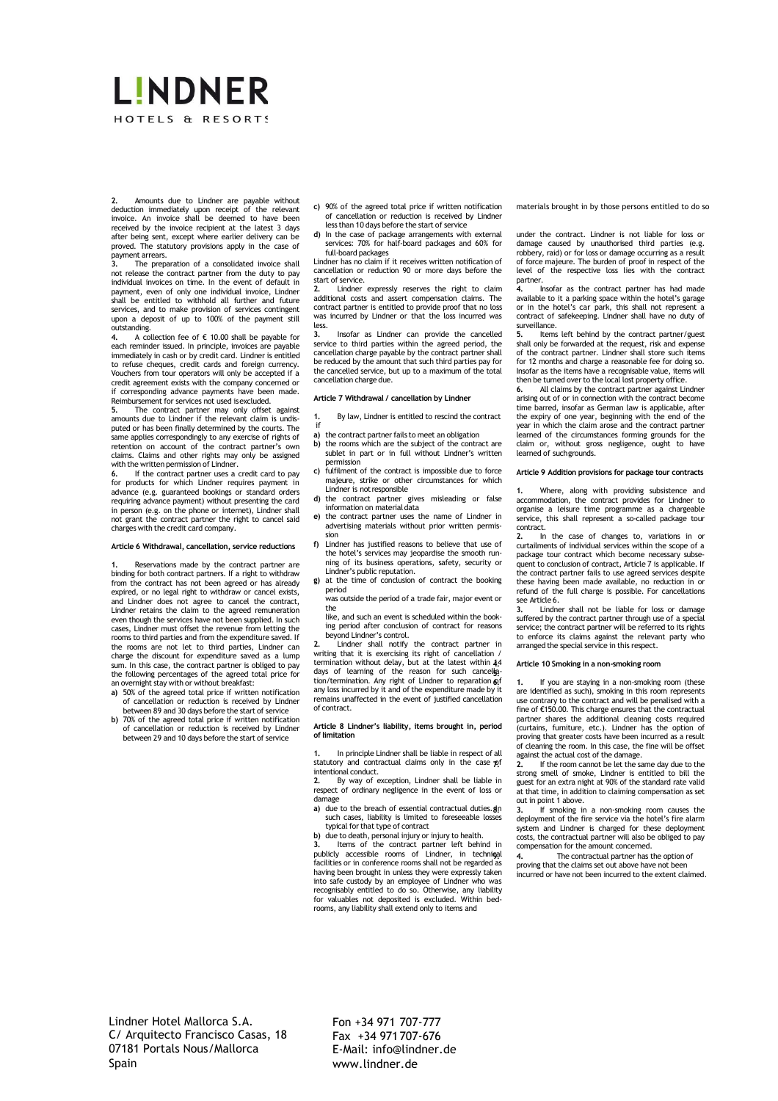# LINDNER HOTELS & RESORTS

**2.** Amounts due to Lindner are payable without deduction immediately upon receipt of the relevant invoice. An invoice shall be deemed to have been received by the invoice recipient at the latest 3 days after being sent, except where earlier delivery can be proved. The statutory provisions apply in the case of

payment arrears. **3.** The preparation of a consolidated invoice shall not release the contract partner from the duty to pay individual invoices on time. In the event of default in payment, even of only one individual invoice, Lindner shall be entitled to withhold all further and future services, and to make provision of services contingent upon a deposit of up to 100% of the payment still

outstanding. **4.** A collection fee of € 10.00 shall be payable for each reminder issued. In principle, invoices are payable immediately in cash or by credit card. Lindner is entitled to refuse cheques, credit cards and foreign currency. Vouchers from tour operators will only be accepted if a credit agreement exists with the company concerned or if corresponding advance payments have been made. Reimbursement for services not used isexcluded.

**5.** The contract partner may only offset against amounts due to Lindner if the relevant claim is undisputed or has been finally determined by the courts. The same applies correspondingly to any exercise of rights of retention on account of the contract partner's own claims. Claims and other rights may only be assigned

with the written permission of Lindner. **6.** If the contract partner uses a credit card to pay for products for which Lindner requires payment in advance (e.g. guaranteed bookings or standard orders requiring advance payment) without presenting the card in person (e.g. on the phone or internet), Lindner shall not grant the contract partner the right to cancel said charges with the credit card company.

### **Article 6 Withdrawal, cancellation, service reductions**

eservations made by the contract partner are binding for both contract partners. If a right to withdraw from the contract has not been agreed or has already expired, or no legal right to withdraw or cancel exists, and Lindner does not agree to cancel the contract, Lindner retains the claim to the agreed remuneration even though the services have not been supplied. In such cases, Lindner must offset the revenue from letting the rooms to third parties and from the expenditure saved. If the rooms are not let to third parties, Lindner can charge the discount for expenditure saved as a lump sum. In this case, the contract partner is obliged to pay the following percentages of the agreed total price for an overnight stay with or without breakfast:

- **a)** 50% of the agreed total price if written notification of cancellation or reduction is received by Lindner between 89 and 30 days before the start of service **b)** 70% of the agreed total price if written notification
- of cancellation or reduction is received by Lindner between 29 and 10 days before the start of service
- **c)** 90% of the agreed total price if written notification of cancellation or reduction is received by Lindner
- less than 10 days before the start of service<br>In the case of package arrangements with **d)** In the case of package arrangements with external services: 70% for half-board packages and 60% for

full-board packages Lindner has no claim if it receives written notification of cancellation or reduction 90 or more days before the start of service.

**2.** Lindner expressly reserves the right to claim additional costs and assert compensation claims. The contract partner is entitled to provide proof that no loss was incurred by Lindner or that the loss incurred was less.<br>3.

**3.** Insofar as Lindner can provide the cancelled service to third parties within the agreed period, the cancellation charge payable by the contract partner shall be reduced by the amount that such third parties pay for the cancelled service, but up to a maximum of the total cancellation charge due.

#### **Article 7 Withdrawal / cancellation by Lindner**

- **1.** By law, Lindner is entitled to rescind the contract ..<br>if
- **a)** the contract partner fails to meet an obligation **b**) the rooms which are the subject of the contra **b)** the rooms which are the subject of the contract are sublet in part or in full without Lindner's written permission
- **c)** fulfilment of the contract is impossible due to force majeure, strike or other circumstances for which Lindner is notresponsible
- **d)** the contract partner gives misleading or false information on material data
- **e)** the contract partner uses the name of Lindner in advertising materials without prior written permis-
- sion **f)** Lindner has justified reasons to believe that use of the hotel's services may jeopardise the smooth running of its business operations, safety, security or Lindner's public reputation.
- g) at the time of conclusion of contract the booking period
	- was outside the period of a trade fair, major event or the
	- like, and such an event is scheduled within the booking period after conclusion of contract for reasons beyond Lindner's control.

**2.** Lindner shall notify the contract partner in writing that it is exercising its right of cancellation / termination without delay, but at the latest within 44<br>days of learning of the reason for such cancel<del>lg.</del><br>tion/termination. Any right of Lindner to reparation **o**f any loss incurred by it and of the expenditure made by it remains unaffected in the event of justified cancellation of contract.

### **Article 8 Lindner's liability, items brought in, period of limitation**

**1.** In principle Lindner shall be liable in respect of all statutory and contractual claims only in the case  $p$ f

intentional conduct.<br>2. By way of e **2.** By way of exception, Lindner shall be liable in respect of ordinary negligence in the event of loss or damage

**a)** due to the breach of essential contractual duties. **g**n such cases, liability is limited to foreseeable losses typical forthat type of contract

**b)** due to death, personal injury or injury to health. **3.** Items of the contract partner left behind in publicly accessible rooms of Lindner, in techni**c**al<br>facilities or in conference rooms shall not be regarded as having been brought in unless they were expressly taken<br>into safe custody by an employee of Lindner who was<br>recognisably entitled to do so. Otherwise, any liability<br>for valuables not deposited is excluded. Within bedrooms, any liability shall extend only to items and

materials brought in by those persons entitled to do so

under the contract. Lindner is not liable for loss or damage caused by unauthorised third parties (e.g. robbery, raid) or for loss or damage occurring as a result of force majeure. The burden of proof in respect of the level of the respective loss lies with the contract partner.

**4.** Insofar as the contract partner has had made available to it a parking space within the hotel's garage or in the hotel's car park, this shall not represent a contract of safekeeping. Lindner shall have no duty of surveillance.<br>5. Items

**5.** Items left behind by the contract partner/guest shall only be forwarded at the request, risk and expense of the contract partner. Lindner shall store such items for 12 months and charge a reasonable fee for doing so. Insofar as the items have a recognisable value, items will then be turned over to the local lost property office.

All claims by the contract partner against Lindner arising out of or in connection with the contract become time barred, insofar as German law is applicable, after the expiry of one year, beginning with the end of the year in which the claim arose and the contract partner learned of the circumstances forming grounds for the claim or, without gross negligence, ought to have learned of suchgrounds.

# **Article 9 Addition provisions for package tour contracts**

**1.** Where, along with providing subsistence and accommodation, the contract provides for Lindner to organise a leisure time programme as a chargeable service, this shall represent a so-called package tour contract.

**2.** In the case of changes to, variations in or curtailments of individual services within the scope of a package tour contract which become necessary subsequent to conclusion of contract, Article 7 is applicable. If the contract partner fails to use agreed services despite these having been made available, no reduction in or refund of the full charge is possible. For cancellations see Article 6.

**3.** Lindner shall not be liable for loss or damage suffered by the contract partner through use of a special service; the contract partner will be referred to its rights to enforce its claims against the relevant party who arranged the special service in this respect.

# **4. Article 10 Smoking in a non-smoking room**

**6. 1.** If you are staying in a non-smoking room (these are identified as such), smoking in this room represents use contrary to the contract and will be penalised with a fine of €150.00. This charge ensures that the contractual artner shares the additional cleaning costs required (curtains, furniture, etc.). Lindner has the option of proving that greater costs have been incurred as a result of cleaning the room. In this case, the fine will be offset

against the actual cost of the damage. **7. 2.** If the room cannot be let the same day due to the strong smell of smoke, Lindner is entitled to bill the guest for an extra night at 90% of the standard rate valid at that time, in addition to claiming compensation as set out in point 1 above.

**8. 3.** If smoking in a non-smoking room causes the deployment of the fire service via the hotel's fire alarm system and Lindner is charged for these deployment costs, the contractual partner will also be obliged to pay compensation for the amount concerned.

**9. 4.** The contractual partner has the option of proving that the claims set out above have not been incurred or have not been incurred to the extent claimed.

Fon +34 971 707-777 Fax +34 971707-676 E-Mail: [info@lindner.de](mailto:info@lindner.de) [www.lindner.de](http://www.lindner.de/)